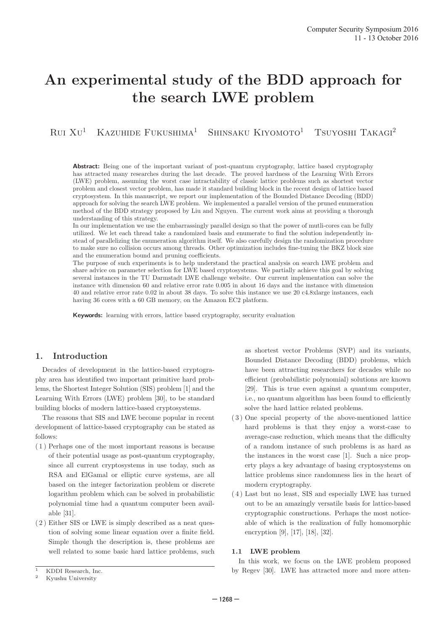# An experimental study of the BDD approach for the search LWE problem

Rui Xu <sup>1</sup> Kazuhide Fukushima <sup>1</sup> Shinsaku Kiyomoto <sup>1</sup> Tsuyoshi Takagi<sup>2</sup>

**Abstract:** Being one of the important variant of post-quantum cryptography, lattice based cryptography has attracted many researches during the last decade. The proved hardness of the Learning With Errors (LWE) problem, assuming the worst case intractability of classic lattice problems such as shortest vector problem and closest vector problem, has made it standard building block in the recent design of lattice based cryptosystem. In this manuscript, we report our implementation of the Bounded Distance Decoding (BDD) approach for solving the search LWE problem. We implemented a parallel version of the pruned enumeration method of the BDD strategy proposed by Liu and Nguyen. The current work aims at providing a thorough understanding of this strategy.

In our implementation we use the embarrassingly parallel design so that the power of mutli-cores can be fully utilized. We let each thread take a randomized basis and enumerate to find the solution independently instead of parallelizing the enumeration algorithm itself. We also carefully design the randomization procedure to make sure no collision occurs among threads. Other optimization includes fine-tuning the BKZ block size and the enumeration bound and pruning coefficients.

The purpose of such experiments is to help understand the practical analysis on search LWE problem and share advice on parameter selection for LWE based cryptosystems. We partially achieve this goal by solving several instances in the TU Darmstadt LWE challenge website. Our current implementation can solve the instance with dimension 60 and relative error rate 0.005 in about 16 days and the instance with dimension 40 and relative error rate 0.02 in about 38 days. To solve this instance we use 20 c4.8xlarge instances, each having 36 cores with a 60 GB memory, on the Amazon EC2 platform .

Keywords: learning with errors, lattice based cryptography, security evaluation

# 1. Introduction

Decades of development in the lattice-based cryptography area has identified two important primitive hard problems, the Shortest Integer Solution (SIS) problem [1] and the Learning With Errors (LWE) problem [30], to be standard building blocks of modern lattice-based cryptosystems.

The reasons that SIS and LWE become popular in recent development of lattice-based cryptography can be stated as follows:

- ( 1 ) Perhaps one of the most important reasons is because of their potential usage as post-quantum cryptography, since all current cryptosystems in use today, such as RSA and ElGamal or elliptic curve systems, are all based on the integer factorization problem or discrete logarithm problem which can be solved in probabilistic polynomial time had a quantum computer been available [31].
- ( 2 ) Either SIS or LWE is simply described as a neat question of solving some linear equation over a finite field. Simple though the description is, these problems are well related to some basic hard lattice problems, such

as shortest vector Problems (SVP) and its variants, Bounded Distance Decoding (BDD) problems, which have been attracting researchers for decades while no efficient (probabilistic polynomial) solutions are known [29]. This is true even against a quantum computer, i.e., no quantum algorithm has been found to efficiently solve the hard lattice related problems.

- ( 3 ) One special property of the above-mentioned lattice hard problems is that they enjoy a worst-case to average-case reduction, which means that the difficulty of a random instance of such problems is as hard as the instances in the worst case [1]. Such a nice property plays a key advantage of basing cryptosystems on lattice problems since randomness lies in the heart of modern cryptography.
- ( 4 ) Last but no least, SIS and especially LWE has turned out to be an amazingly versatile basis for lattice-based cryptographic constructions. Perhaps the most noticeable of which is the realization of fully homomorphic encryption [9], [17], [18], [32].

#### 1.1 LWE problem

In this work, we focus on the LWE problem proposed by Regev [30]. LWE has attracted more and more atten-

<sup>&</sup>lt;sup>1</sup> KDDI Research, Inc.<br><sup>2</sup> Kyushu University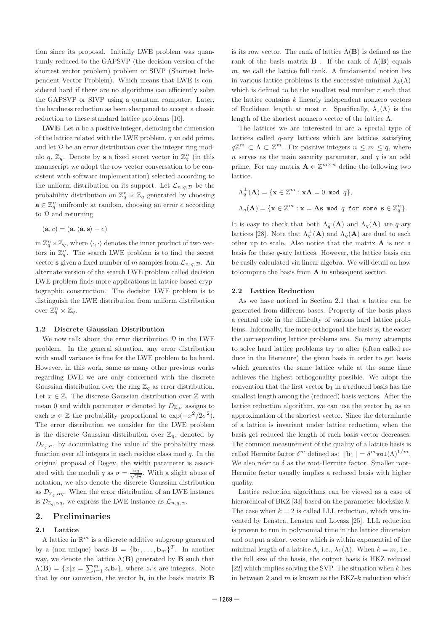tion since its proposal. Initially LWE problem was quantumly reduced to the GAPSVP (the decision version of the shortest vector problem) problem or SIVP (Shortest Independent Vector Problem). Which means that LWE is considered hard if there are no algorithms can efficiently solve the GAPSVP or SIVP using a quantum computer. Later, the hardness reduction as been sharpened to accept a classic reduction to these standard lattice problems [10].

**LWE**. Let  $n$  be a positive integer, denoting the dimension of the lattice related with the LWE problem, q an odd prime, and let D be an error distribution over the integer ring modulo q,  $\mathbb{Z}_q$ . Denote by **s** a fixed secret vector in  $\mathbb{Z}_q^n$  (in this manuscript we adopt the row vector conversation to be consistent with software implementation) selected according to the uniform distribution on its support. Let  $\mathcal{L}_{n,q,\mathcal{D}}$  be the probability distribution on  $\mathbb{Z}_q^n \times \mathbb{Z}_q$  generated by choosing  $\mathbf{a} \in \mathbb{Z}_q^n$  unifromly at random, choosing an error  $e$  according to D and returning

$$
(\mathbf{a},c)=(\mathbf{a},\langle\mathbf{a},\mathbf{s}\rangle+e)
$$

in  $\mathbb{Z}_q^n\times\mathbb{Z}_q$ , where  $\langle\cdot,\cdot\rangle$  denotes the inner product of two vectors in  $\mathbb{Z}_q^n$ . The search LWE problem is to find the secret vector **s** given a fixed number of m samples from  $\mathcal{L}_{n,q,\mathcal{D}}$ . An alternate version of the search LWE problem called decision LWE problem finds more applications in lattice-based cryptographic construction. The decision LWE problem is to distinguish the LWE distribution from uniform distribution over  $\mathbb{Z}_q^n \times \mathbb{Z}_q$ .

#### 1.2 Discrete Gaussian Distribution

We now talk about the error distribution  $\mathcal{D}$  in the LWE problem. In the general situation, any error distribution with small variance is fine for the LWE problem to be hard. However, in this work, same as many other previous works regarding LWE we are only concerned with the discrete Gaussian distribution over the ring  $\mathbb{Z}_q$  as error distribution. Let  $x \in \mathbb{Z}$ . The discrete Gaussian distribution over  $\mathbb{Z}$  with mean 0 and width parameter  $\sigma$  denoted by  $D_{\mathbb{Z},\sigma}$  assigns to each  $x \in \mathbb{Z}$  the probability proportional to  $\exp(-x^2/2\sigma^2)$ . The error distribution we consider for the LWE problem is the discrete Gaussian distribution over  $\mathbb{Z}_q$ , denoted by  $D_{\mathbb{Z}_q,\sigma}$ , by accumulating the value of the probability mass function over all integers in each residue class mod q. In the original proposal of Regev, the width parameter is associated with the moduli q as  $\sigma = \frac{\alpha q}{\sqrt{2\pi}}$ . With a slight abuse of notation, we also denote the discrete Gaussian distribution as  $\mathcal{D}_{\mathbb{Z}_q,\alpha q}$ . When the error distribution of an LWE instance is  $\mathcal{D}_{\mathbb{Z}_q,\alpha q}$ , we express the LWE instance as  $\mathcal{L}_{n,q,\alpha}$ .

# 2. Preliminaries

## 2.1 Lattice

A lattice in  $\mathbb{R}^m$  is a discrete additive subgroup generated by a (non-unique) basis  $\mathbf{B} = {\mathbf{b}_1, ..., \mathbf{b}_m}^T$ . In another way, we denote the lattice  $\Lambda(\mathbf{B})$  generated by **B** such that  $\Lambda(\mathbf{B}) = \{x | x = \sum_{i=1}^{m} z_i \mathbf{b}_i\},\$  where  $z_i$ 's are integers. Note that by our convetion, the vector  $\mathbf{b}_i$  in the basis matrix **B** 

is its row vector. The rank of lattice  $\Lambda(B)$  is defined as the rank of the basis matrix **B**. If the rank of  $\Lambda$ (**B**) equals  $m$ , we call the lattice full rank. A fundamental notion lies in various lattice problems is the successive minimal  $\lambda_k(\Lambda)$ which is defined to be the smallest real number  $r$  such that the lattice contains k linearly independent nonzero vectors of Euclidean length at most r. Specifically,  $\lambda_1(\Lambda)$  is the length of the shortest nonzero vector of the lattice  $\Lambda.$ 

The lattices we are interested in are a special type of lattices called q-ary lattices which are lattices satisfying  $q\mathbb{Z}^m \subset \Lambda \subset \mathbb{Z}^m$ . Fix positive integers  $n \leq m \leq q$ , where n serves as the main security parameter, and q is an odd prime. For any matrix  $\mathbf{A} \in \mathbb{Z}^{m \times n}$  define the following two lattice.

$$
\Lambda_q^{\perp}(\mathbf{A}) = \{ \mathbf{x} \in \mathbb{Z}^m : \mathbf{x} \mathbf{A} = 0 \text{ mod } q \},
$$
  

$$
\Lambda_q(\mathbf{A}) = \{ \mathbf{x} \in \mathbb{Z}^m : \mathbf{x} = \mathbf{A} \text{ s mod } q \text{ for some } \mathbf{s} \in \mathbb{Z}_q^n \}.
$$

It is easy to check that both  $\Lambda_q^{\perp}(\mathbf{A})$  and  $\Lambda_q(\mathbf{A})$  are q-ary lattices [28]. Note that  $\Lambda_q^{\perp}(\mathbf{A})$  and  $\Lambda_q(\mathbf{A})$  are dual to each other up to scale. Also notice that the matrix  $\bf{A}$  is not a basis for these q-ary lattices. However, the lattice basis can be easily calculated via linear algebra. We will detail on how to compute the basis from A in subsequent section.

#### 2.2 Lattice Reduction

As we have noticed in Section 2.1 that a lattice can be generated from different bases. Property of the basis plays a central role in the difficulty of various hard lattice problems. Informally, the more orthogonal the basis is, the easier the corresponding lattice problems are. So many attempts to solve hard lattice problems try to alter (often called reduce in the literature) the given basis in order to get basis which generates the same lattice while at the same time achieves the highest orthogonality possible. We adopt the convention that the first vector  $\mathbf{b}_1$  in a reduced basis has the smallest length among the (reduced) basis vectors. After the lattice reduction algorithm, we can use the vector  $\mathbf{b}_1$  as an approximation of the shortest vector. Since the determinate of a lattice is invariant under lattice reduction, when the basis get reduced the length of each basis vector decreases. The common measurement of the quality of a lattice basis is called Hermite factor  $\delta^m$  defined as:  $||\mathbf{b}_1|| = \delta^m \text{vol}(\Lambda)^{1/m}$ . We also refer to  $\delta$  as the root-Hermite factor. Smaller root-Hermite factor usually implies a reduced basis with higher quality.

Lattice reduction algorithms can be viewed as a case of hierarchical of BKZ [33] based on the parameter blocksize  $k$ . The case when  $k = 2$  is called LLL reduction, which was invented by Lenstra, Lenstra and Lovasz [25]. LLL reduction is proven to run in polynomial time in the lattice dimension and output a short vector which is within exponential of the minimal length of a lattice  $\Lambda$ , i.e.,  $\lambda_1(\Lambda)$ . When  $k = m$ , i.e., the full size of the basis, the output basis is HKZ reduced [22] which implies solving the SVP. The situation when k lies in between 2 and  $m$  is known as the BKZ- $k$  reduction which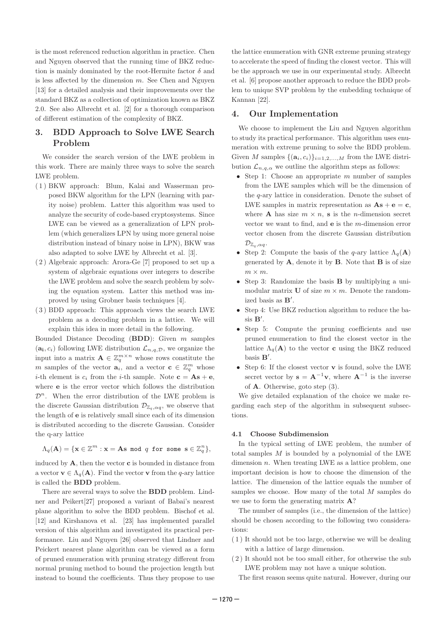is the most referenced reduction algorithm in practice. Chen and Nguyen observed that the running time of BKZ reduction is mainly dominated by the root-Hermite factor  $\delta$  and is less affected by the dimension  $m$ . See Chen and Nguyen [13] for a detailed analysis and their improvements over the standard BKZ as a collection of optimization known as BKZ 2.0. See also Albrecht et al. [2] for a thorough comparison of different estimation of the complexity of BKZ.

# 3. BDD Approach to Solve LWE Search Problem

We consider the search version of the LWE problem in this work. There are mainly three ways to solve the search LWE problem.

- ( 1 ) BKW approach: Blum, Kalai and Wasserman proposed BKW algorithm for the LPN (learning with parity noise) problem. Latter this algorithm was used to analyze the security of code-based cryptosystems. Since LWE can be viewed as a generalization of LPN problem (which generalizes LPN by using more general noise distribution instead of binary noise in LPN), BKW was also adapted to solve LWE by Albrecht et al. [3].
- ( 2 ) Algebraic approach: Arora-Ge [7] proposed to set up a system of algebraic equations over integers to describe the LWE problem and solve the search problem by solving the equation system. Latter this method was improved by using Grobner basis techniques [4].
- ( 3 ) BDD approach: This approach views the search LWE problem as a decoding problem in a lattice. We will explain this idea in more detail in the following.

Bounded Distance Decoding (BDD): Given m samples  $(a_i, c_i)$  following LWE distribution  $\mathcal{L}_{n,q,\mathcal{D}}$ , we organize the input into a matrix  $\mathbf{A} \in \mathbb{Z}_q^{m \times n}$  whose rows constitute the m samples of the vector  $\mathbf{a}_i$ , and a vector  $\mathbf{c} \in \mathbb{Z}_q^m$  whose *i*-th element is  $c_i$  from the *i*-th sample. Note  $\mathbf{c} = \mathbf{A}\mathbf{s} + \mathbf{e}$ , where e is the error vector which follows the distribution  $\mathcal{D}^n$ . When the error distribution of the LWE problem is the discrete Gaussian distribution  $\mathcal{D}_{\mathbb{Z}_q,\alpha q}$ , we observe that the length of e is relatively small since each of its dimension is distributed according to the discrete Gaussian. Consider the q-ary lattice

$$
\Lambda_q(\mathbf{A}) = \{ \mathbf{x} \in \mathbb{Z}^m : \mathbf{x} = \mathbf{A} \mathbf{s} \text{ mod } q \text{ for some } \mathbf{s} \in \mathbb{Z}_q^n \},
$$

induced by  $\mathbf{A}$ , then the vector **c** is bounded in distance from a vector  $\mathbf{v} \in \Lambda_q(\mathbf{A})$ . Find the vector  $\mathbf{v}$  from the q-ary lattice is called the BDD problem.

There are several ways to solve the BDD problem. Lindner and Peikert[27] proposed a variant of Babai's nearest plane algorithm to solve the BDD problem. Bischof et al. [12] and Kirshanova et al. [23] has implemented parallel version of this algorithm and investigated its practical performance. Liu and Nguyen [26] observed that Lindner and Peickert nearest plane algorithm can be viewed as a form of pruned enumeration with pruning strategy different from normal pruning method to bound the projection length but instead to bound the coefficients. Thus they propose to use

the lattice enumeration with GNR extreme pruning strategy to accelerate the speed of finding the closest vector. This will be the approach we use in our experimental study. Albrecht et al. [6] propose another approach to reduce the BDD problem to unique SVP problem by the embedding technique of Kannan [22].

# 4. Our Implementation

We choose to implement the Liu and Nguyen algorithm to study its practical performance. This algorithm uses enumeration with extreme pruning to solve the BDD problem. Given M samples  $\{(\mathbf{a}_i, c_i)\}_{i=1,2,\ldots,M}$  from the LWE distribution  $\mathcal{L}_{n,q,\alpha}$  we outline the algorithm steps as follows:

- Step 1: Choose an appropriate  $m$  number of samples from the LWE samples which will be the dimension of the q-ary lattice in consideration. Denote the subset of LWE samples in matrix representation as  $\mathbf{As} + \mathbf{e} = \mathbf{c}$ , where **A** has size  $m \times n$ , **s** is the *n*-dimension secret vector we want to find, and e is the m-dimension error vector chosen from the discrete Gaussian distribution  $\mathcal{D}_{\mathbb{Z}_q,\alpha q}.$
- Step 2: Compute the basis of the q-ary lattice  $\Lambda_q(\mathbf{A})$ generated by  $\mathbf{A}$ , denote it by  $\mathbf{B}$ . Note that  $\mathbf{B}$  is of size  $m \times m$ .
- Step 3: Randomize the basis B by multiplying a unimodular matrix **U** of size  $m \times m$ . Denote the randomized basis as B′.
- Step 4: Use BKZ reduction algorithm to reduce the basis B′.
- Step 5: Compute the pruning coefficients and use pruned enumeration to find the closest vector in the lattice  $\Lambda_q(A)$  to the vector **c** using the BKZ reduced basis  $\mathbf{B}'$ .
- Step 6: If the closest vector **v** is found, solve the LWE secret vector by  $\mathbf{s} = \mathbf{A}^{-1}\mathbf{v}$ , where  $\mathbf{A}^{-1}$  is the inverse of A. Otherwise, goto step (3).

We give detailed explanation of the choice we make regarding each step of the algorithm in subsequent subsections.

#### 4.1 Choose Subdimension

In the typical setting of LWE problem, the number of total samples M is bounded by a polynomial of the LWE dimension n. When treating LWE as a lattice problem, one important decision is how to choose the dimension of the lattice. The dimension of the lattice equals the number of samples we choose. How many of the total M samples do we use to form the generating matrix **A**?

The number of samples (i.e., the dimension of the lattice) should be chosen according to the following two considerations:

- ( 1 ) It should not be too large, otherwise we will be dealing with a lattice of large dimension.
- ( 2 ) It should not be too small either, for otherwise the sub LWE problem may not have a unique solution.
	- The first reason seems quite natural. However, during our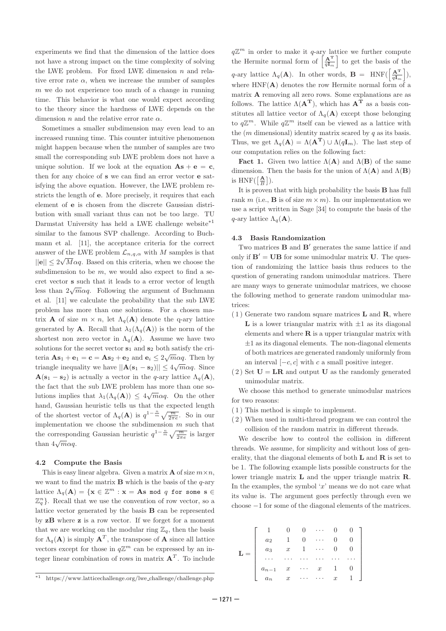experiments we find that the dimension of the lattice does not have a strong impact on the time complexity of solving the LWE problem. For fixed LWE dimension  $n$  and relative error rate  $\alpha$ , when we increase the number of samples  $m$  we do not experience too much of a change in running time. This behavior is what one would expect according to the theory since the hardness of LWE depends on the dimension  $n$  and the relative error rate  $\alpha$ .

Sometimes a smaller subdimension may even lead to an increased running time. This counter intuitive phenomenon might happen because when the number of samples are two small the corresponding sub LWE problem does not have a unique solution. If we look at the equation  $\mathbf{A}\mathbf{s} + \mathbf{e} = \mathbf{c}$ , then for any choice of s we can find an error vector e satisfying the above equation. However, the LWE problem restricts the length of e. More precisely, it requires that each element of e is chosen from the discrete Gaussian distribution with small variant thus can not be too large. TU Darmstat University has held a LWE challenge website<sup>\*1</sup> similar to the famous SVP challenge. According to Buchmann et al. [11], the acceptance criteria for the correct answer of the LWE problem  $\mathcal{L}_{n,q,\alpha}$  with M samples is that  $||\mathbf{e}|| \leq 2\sqrt{M}\alpha q$ . Based on this criteria, when we choose the subdimension to be  $m$ , we would also expect to find a secret vector s such that it leads to a error vector of length less than  $2\sqrt{m}\alpha q$ . Following the argument of Buchmann et al. [11] we calculate the probability that the sub LWE problem has more than one solutions. For a chosen matrix **A** of size  $m \times n$ , let  $\Lambda_q(A)$  denote the q-ary lattice generated by **A**. Recall that  $\lambda_1(\Lambda_q(\mathbf{A}))$  is the norm of the shortest non zero vector in  $\Lambda_q(A)$ . Assume we have two solutions for the secret vector  $s_1$  and  $s_2$  both satisfy the criteria  $\mathbf{As}_1 + \mathbf{e}_1 = \mathbf{c} = \mathbf{As}_2 + \mathbf{e}_2$  and  $\mathbf{e}_i \leq 2\sqrt{m\alpha q}$ . Then by triangle inequality we have  $||\mathbf{A}(\mathbf{s}_1 - \mathbf{s}_2)|| \leq 4\sqrt{m}\alpha q$ . Since  $\mathbf{A}(\mathbf{s}_1 - \mathbf{s}_2)$  is actually a vector in the q-ary lattice  $\Lambda_q(\mathbf{A})$ , the fact that the sub LWE problem has more than one solutions implies that  $\lambda_1(\Lambda_q(\mathbf{A})) \leq 4\sqrt{m\alpha q}$ . On the other hand, Gaussian heuristic tells us that the expected length of the shortest vector of  $\Lambda_q(\mathbf{A})$  is  $q^{1-\frac{n}{m}}\sqrt{\frac{m}{2\pi e}}$ . So in our implementation we choose the subdimension m such that the corresponding Gaussian heuristic  $q^{1-\frac{n}{m}}\sqrt{\frac{m}{2\pi e}}$  is larger than  $4\sqrt{m}\alpha q$ .

## 4.2 Compute the Basis

This is easy linear algebra. Given a matrix **A** of size  $m \times n$ , we want to find the matrix  $\bf{B}$  which is the basis of the  $q$ -ary lattice  $\Lambda_q(\mathbf{A}) = \{ \mathbf{x} \in \mathbb{Z}^m : \mathbf{x} = \mathbf{A} \mathbf{s} \text{ mod } q \text{ for some } \mathbf{s} \in \mathbb{Z}^m \}$  $\mathbb{Z}_q^n$ . Recall that we use the convention of row vector, so a lattice vector generated by the basis B can be represented by zB where z is a row vector. If we forget for a moment that we are working on the modular ring  $\mathbb{Z}_q$ , then the basis for  $\Lambda_q(A)$  is simply  $A^T$ , the transpose of A since all lattice vectors except for those in  $q\mathbb{Z}^m$  can be expressed by an integer linear combination of rows in matrix  $A<sup>T</sup>$ . To include

 $q\mathbb{Z}^m$  in order to make it q-ary lattice we further compute the Hermite normal form of  $\left[\frac{\mathbf{A}^{\mathrm{T}}}{g\mathbf{I}}\right]$  $\left[\frac{\mathbf{A}^{\mathrm{T}}}{q\mathbf{I}_{m}}\right]$  to get the basis of the q-ary lattice  $\Lambda_q(\mathbf{A})$ . In other words,  $\mathbf{B} = \text{HNF}(\left[\frac{\mathbf{A}^T}{q\mathbf{I}_{\infty}}\right])$  $\left.\frac{\mathbf{A}^{\mathbf{T}}}{q\mathbf{I}_{m}}\right]),$ where  $HNF(A)$  denotes the row Hermite normal form of a matrix A removing all zero rows. Some explanations are as follows. The lattice  $\Lambda(\mathbf{A}^{\mathbf{T}})$ , which has  $\mathbf{A}^{\mathbf{T}}$  as a basis constitutes all lattice vector of  $\Lambda_q(A)$  except those belonging to  $q\mathbb{Z}^m$ . While  $q\mathbb{Z}^m$  itself can be viewed as a lattice with the  $(m \text{ dimensional})$  identity matrix scared by  $q$  as its basis. Thus, we get  $\Lambda_q(\mathbf{A}) = \Lambda(\mathbf{A}^{\mathbf{T}}) \cup \Lambda(q\mathbf{I}_m)$ . The last step of our computation relies on the following fact:

**Fact 1.** Given two lattice  $\Lambda(A)$  and  $\Lambda(B)$  of the same dimension. Then the basis for the union of  $\Lambda(\mathbf{A})$  and  $\Lambda(\mathbf{B})$ is  $HNF(\frac{A}{B})$  $\frac{\mathbf{A}}{B}$ .

It is proven that with high probability the basis B has full rank  $m$  (i.e., **B** is of size  $m \times m$ ). In our implementation we use a script written in Sage [34] to compute the basis of the  $q$ -ary lattice  $\Lambda_q(\mathbf{A})$ .

## 4.3 Basis Randomization

Two matrices **B** and **B'** generates the same lattice if and only if  $B' = UB$  for some unimodular matrix U. The question of randomizing the lattice basis thus reduces to the question of generating random unimodular matrices. There are many ways to generate unimodular matrices, we choose the following method to generate random unimodular matrices:

- $(1)$  Generate two random square matrices **L** and **R**, where **L** is a lower triangular matrix with  $\pm 1$  as its diagonal elements and where  $R$  is a upper triangular matrix with  $\pm 1$  as its diagonal elements. The non-diagonal elements of both matrices are generated randomly uniformly from an interval  $[-c, c]$  with c a small positive integer.
- $(2)$  Set  $U = LR$  and output U as the randomly generated unimodular matrix.

We choose this method to generate unimodular matrices for two reasons:

- ( 1 ) This method is simple to implement.
- ( 2 ) When used in multi-thread program we can control the collision of the random matrix in different threads.

We describe how to control the collision in different threads. We assume, for simplicity and without loss of generality, that the diagonal elements of both  $\bf{L}$  and  $\bf{R}$  is set to be 1. The following example lists possible constructs for the lower triangle matrix  $\bf{L}$  and the upper triangle matrix  $\bf{R}$ . In the examples, the symbol ' x' means we do not care what its value is. The argument goes perfectly through even we choose −1 for some of the diagonal elements of the matrices.

$$
\mathbf{L} = \left[ \begin{array}{ccccc} 1 & 0 & 0 & \cdots & 0 & 0 \\ a_2 & 1 & 0 & \cdots & 0 & 0 \\ a_3 & x & 1 & \cdots & 0 & 0 \\ \cdots & \cdots & \cdots & \cdots & \cdots & \cdots \\ a_{n-1} & x & \cdots & x & 1 & 0 \\ a_n & x & \cdots & \cdots & x & 1 \end{array} \right]
$$

<sup>\*</sup> <sup>1</sup> https://www.latticechallenge.org/lwe challenge/challenge.php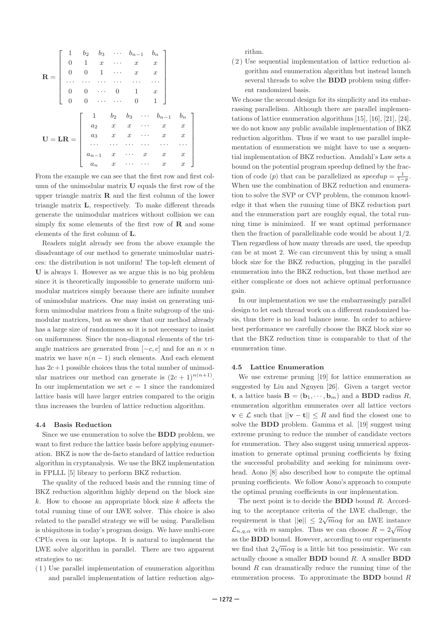$$
\mathbf{R} = \begin{bmatrix} 1 & b_2 & b_3 & \cdots & b_{n-1} & b_n \\ 0 & 1 & x & \cdots & x & x \\ 0 & 0 & 1 & \cdots & x & x \\ \cdots & \cdots & \cdots & \cdots & \cdots & \cdots \\ 0 & 0 & \cdots & 0 & 1 & x \\ 0 & 0 & \cdots & \cdots & 0 & 1 \end{bmatrix}
$$

$$
\mathbf{U} = \mathbf{L}\mathbf{R} = \begin{bmatrix} 1 & b_2 & b_3 & \cdots & b_{n-1} & b_n \\ a_2 & x & x & \cdots & x & x \\ a_3 & x & x & \cdots & x & x \\ \cdots & \cdots & \cdots & \cdots & \cdots & \cdots \\ a_{n-1} & x & \cdots & x & x & x \\ a_n & x & \cdots & \cdots & x & x \end{bmatrix}
$$

From the example we can see that the first row and first column of the unimodular matrix U equals the first row of the upper triangle matrix  $\bf{R}$  and the first column of the lower triangle matrix L, respectively. To make different threads generate the unimodular matrices without collision we can simply fix some elements of the first row of  $\bf R$  and some elements of the first column of L .

Readers might already see from the above example the disadvantage of our method to generate unimodular matrices: the distribution is not uniform! The top-left element of U is always 1. However as we argue this is no big problem since it is theoretically impossible to generate uniform unimodular matrices simply because there are infinite number of unimodular matrices. One may insist on generating uniform unimodular matrices from a finite subgroup of the unimodular matrices, but as we show that our method already has a large size of randomness so it is not necessary to insist on uniformness. Since the non-diagonal elements of the triangle matrices are generated from  $[-c, c]$  and for an  $n \times n$ matrix we have  $n(n-1)$  such elements. And each element has  $2c+1$  possible choices thus the total number of unimodular matrices our method can generate is  $(2c + 1)^{n(n+1)}$ . In our implementation we set  $c = 1$  since the randomized lattice basis will have larger entries compared to the origin thus increases the burden of lattice reduction algorithm.

#### 4.4 Basis Reduction

Since we use enumeration to solve the BDD problem, we want to first reduce the lattice basis before applying enumeration. BKZ is now the de-facto standard of lattice reduction algorithm in cryptanalysis. We use the BKZ implementation in FPLLL [5] library to perform BKZ reduction.

The quality of the reduced basis and the running time of BKZ reduction algorithm highly depend on the block size  $k$ . How to choose an appropriate block size  $k$  affects the total running time of our LWE solver. This choice is also related to the parallel strategy we will be using. Parallelism is ubiquitous in today's program design. We have multi-core CPUs even in our laptops. It is natural to implement the LWE solve algorithm in parallel. There are two apparent strategies to us:

( 1 ) Use parallel implementation of enumeration algorithm and parallel implementation of lattice reduction algorithm.

( 2 ) Use sequential implementation of lattice reduction algorithm and enumeration algorithm but instead launch several threads to solve the BDD problem using different randomized basis.

We choose the second design for its simplicity and its embarrassing parallelism. Although there are parallel implementations of lattice enumeration algorithms [15], [16], [21], [24], we do not know any public available implementation of BKZ reduction algorithm. Thus if we want to use parallel implementation of enumeration we might have to use a sequential implementation of BKZ reduction. Amdahl's Law sets a bound on the potential program speedup defined by the fraction of code (p) that can be parallelized as  $speedup = \frac{1}{1-p}$ . When use the combination of BKZ reduction and enumeration to solve the SVP or CVP problem, the common knowledge it that when the running time of BKZ reduction part and the enumeration part are roughly equal, the total running time is minimized. If we want optimal performance then the fraction of parallelizable code would be about 1 /2. Then regardless of how many threads are used, the speedup can be at most 2. We can circumvent this by using a small block size for the BKZ reduction, plugging in the parallel enumeration into the BKZ reduction, but those method are either complicate or does not achieve optimal performance gain.

In our implementation we use the embarrassingly parallel design to let each thread work on a different randomized basis, thus there is no load balance issue. In order to achieve best performance we carefully choose the BKZ block size so that the BKZ reduction time is comparable to that of the enumeration time.

## 4.5 Lattice Enumeration

We use extreme pruning [19] for lattice enumeration as suggested by Liu and Nguyen [26]. Given a target vector **t**, a lattice basis **B** =  $(\mathbf{b}_1, \dots, \mathbf{b}_m)$  and a **BDD** radius *R*, enumeration algorithm enumerates over all lattice vectors  $\mathbf{v} \in \mathcal{L}$  such that  $||\mathbf{v} - \mathbf{t}|| \leq R$  and find the closest one to solve the BDD problem. Gamma et al. [19] suggest using extreme pruning to reduce the number of candidate vectors for enumeration. They also suggest using numerical approximation to generate optimal pruning coefficients by fixing the successful probability and seeking for minimum overhead. Aono [8] also described how to compute the optimal pruning coefficients. We follow Aono's approach to compute the optimal pruning coefficients in our implementation.

The next point is to decide the **BDD** bound R. According to the acceptance criteria of the LWE challenge, the requirement is that  $||\mathbf{e}|| \leq 2\sqrt{m}\alpha q$  for an LWE instance  $\mathcal{L}_{n,q,\alpha}$  with m samples. Thus we can choose  $R = 2\sqrt{m\alpha q}$ as the BDD bound. However, according to our experiments we find that  $2\sqrt{m}\alpha q$  is a little bit too pessimistic. We can actually choose a smaller **BDD** bound  $R$ . A smaller **BDD** bound R can dramatically reduce the running time of the enumeration process. To approximate the **BDD** bound  $R$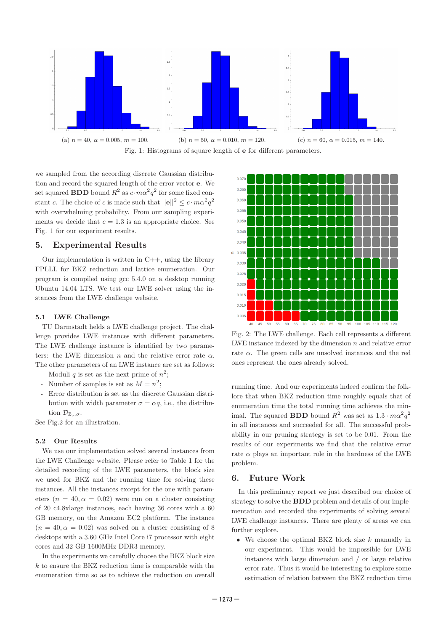

we sampled from the according discrete Gaussian distribution and record the squared length of the error vector e. We set squared **BDD** bound  $R^2$  as  $c \cdot m \alpha^2 q^2$  for some fixed constant c. The choice of c is made such that  $||\mathbf{e}||^2 \leq c \cdot m \alpha^2 q^2$ with overwhelming probability. From our sampling experiments we decide that  $c = 1.3$  is an appropriate choice. See

Fig. 1 for our experiment results.

# 5. Experimental Results

Our implementation is written in  $C_{++}$ , using the library FPLLL for BKZ reduction and lattice enumeration. Our program is compiled using gcc 5.4.0 on a desktop running Ubuntu 14.04 LTS. We test our LWE solver using the instances from the LWE challenge website.

## 5.1 LWE Challenge

TU Darmstadt helds a LWE challenge project. The challenge provides LWE instances with different parameters. The LWE challenge instance is identified by two parameters: the LWE dimension n and the relative error rate  $\alpha$ . The other parameters of an LWE instance are set as follows:

- Moduli q is set as the next prime of  $n^2$ ;
- Number of samples is set as  $M = n^2$ ;
- Error distribution is set as the discrete Gaussian distribution with width parameter  $\sigma = \alpha q$ , i.e., the distribution  $\mathcal{D}_{\mathbb{Z}_q,\sigma}$ .

See Fig.2 for an illustration.

#### 5.2 Our Results

We use our implementation solved several instances from the LWE Challenge website. Please refer to Table 1 for the detailed recording of the LWE parameters, the block size we used for BKZ and the running time for solving these instances. All the instances except for the one with parameters ( $n = 40, \alpha = 0.02$ ) were run on a cluster consisting of 20 c4.8xlarge instances, each having 36 cores with a 60 GB memory, on the Amazon EC2 platform. The instance  $(n = 40, \alpha = 0.02)$  was solved on a cluster consisting of 8 desktops with a 3.60 GHz Intel Core i7 processor with eight cores and 32 GB 1600MHz DDR3 memory.

In the experiments we carefully choose the BKZ block size  $k$  to ensure the BKZ reduction time is comparable with the enumeration time so as to achieve the reduction on overall



Fig. 2: The LWE challenge. Each cell represents a different LWE instance indexed by the dimension  $n$  and relative error rate  $\alpha$ . The green cells are unsolved instances and the red ones represent the ones already solved.

running time. And our experiments indeed confirm the folklore that when BKZ reduction time roughly equals that of enumeration time the total running time achieves the minimal. The squared **BDD** bound  $R^2$  was set as  $1.3 \cdot m\alpha^2 q^2$ in all instances and succeeded for all. The successful probability in our pruning strategy is set to be 0.01. From the results of our experiments we find that the relative error rate  $\alpha$  plays an important role in the hardness of the LWE problem.

## 6. Future Work

In this preliminary report we just described our choice of strategy to solve the BDD problem and details of our implementation and recorded the experiments of solving several LWE challenge instances. There are plenty of areas we can further explore.

• We choose the optimal BKZ block size  $k$  manually in our experiment. This would be impossible for LWE instances with large dimension and / or large relative error rate. Thus it would be interesting to explore some estimation of relation between the BKZ reduction time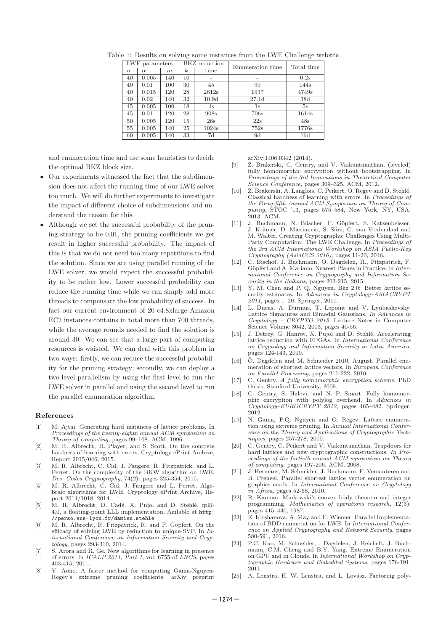| LWE parameters   |          |     | BKZ reduction    |       | Enumeration time  | Total time |
|------------------|----------|-----|------------------|-------|-------------------|------------|
| $\boldsymbol{n}$ | $\alpha$ | m   | $\boldsymbol{k}$ | time  |                   |            |
| 40               | 0.005    | 140 | 10               |       |                   | 0.2s       |
| 40               | 0.01     | 100 | 30               | 45    | 99                | 144s       |
| 40               | 0.015    | 120 | 28               | 2812s | 1937              | 4749s      |
| 40               | 0.02     | 140 | 32               | 10.9d | 27.1 <sub>d</sub> | 38d        |
| 45               | 0.005    | 100 | 18               | 4s    | 1s                | 5s         |
| 45               | 0.01     | 120 | 28               | 908s  | 706s              | 1614s      |
| 50               | 0.005    | 120 | 15               | 26s   | 22s               | 48s        |
| 55               | 0.005    | 140 | 25               | 1024s | 752s              | 1776s      |
| 60               | 0.005    | 140 | 33               | 7d    | 9d                | 16d        |

Table 1: Results on solving some instances from the LWE Challenge website

and enumeration time and use some heuristics to decide the optimal BKZ block size.

- Our experiments witnessed the fact that the subdimension does not affect the running time of our LWE solver too much. We will do further experiments to investigate the impact of different choice of subdimensions and understand the reason for this.
- Although we set the successful probability of the pruning strategy to be 0.01, the pruning coefficients we get result in higher successful probability. The impact of this is that we do not need too many repetitions to find the solution. Since we are using parallel running of the LWE solver, we would expect the successful probability to be rather low. Lower successful probability can reduce the running time while we can simply add more threads to compensate the low probability of success. In fact our current environment of 20 c4.8xlarge Amazon EC2 instances contains in total more than 700 threads, while the average rounds needed to find the solution is around 30. We can see that a large part of computing resources is waisted. We can deal with this problem in two ways: firstly, we can reduce the successful probability for the pruning strategy; secondly, we can deploy a two-level parallelism by using the first level to run the LWE solver in parallel and using the second level to run the parallel enumeration algorithm.

#### References

- [1] M. Ajtai. Generating hard instances of lattice problems. In *Proceedings of the twenty-eighth annual ACM symposium on Theory of computing*, pages 99–108. ACM, 1996.
- [2] M. R. Albrecht, R. Player, and S. Scott. On the concrete hardness of learning with errors. Cryptology ePrint Archive, Report 2015/046, 2015.
- [3] M. R. Albrecht, C. Cid, J. Faugere, R. Fitzpatrick, and L. Perret. On the complexity of the BKW algorithm on LWE. *Des. Codes Cryptography*, 74(2): pages 325-354, 2015.
- [4] M. R. Albrecht, C. Cid, J. Faugere and L. Perret. Algebraic algorithms for LWE. Cryptology ePrint Archive, Report 2014/1018, 2014.
- [5] M. R. Albrecht, D. Cadé, X. Pujol and D. Stehlé. fplll-4.0, a floating-point LLL implementation. Aailable at http: //perso.ens-lyon.fr/damien.stehle
- [6] M. R. Albrecht, R. Fitzpatrick, R. and F. Göpfert. On the efficacy of solving LWE by reduction to unique-SVP. In *International Conference on Information Security and Cryptology*, pages 293-310, 2014.
- [7] S. Arora and R. Ge. New algorithms for learning in presence of errors. In *ICALP 2011, Part 1*, vol. 6755 of *LNCS*, pages 403-415, 2011.
- [8] Y. Aono. A faster method for computing Gama-Nguyen-Regev's extreme pruning coefficients. arXiv preprint

arXiv:1406.0342 (2014).

- [9] Z. Brakerski, C. Gentry, and V. Vaikuntanathan. (leveled) fully homomorphic encryption without bootstrapping. In *Proceedings of the 3rd Innovations in Theoretical Computer Science Conference*, pages 309–325. ACM, 2012.
- [10] Z. Brakerski, A. Langlois, C. Peikert, O. Regev and D. Stehlé. Classical hardness of learning with errors. In *Proceedings of the Forty-fifth Annual ACM Symposium on Theory of Computing*, STOC '13, pages 575–584, New York, NY, USA, 2013. ACM.
- [11] J. Buchmann, N. Büscher, F. Göpfert, S. Katzenbeisser, J. Krämer, D. Micciancio, S. Siim, C. van Vredendaal and M. Walter. Creating Cryptographic Challenges Using Multi-Party Computation: The LWE Challenge. In *Proceedings of the 3rd ACM International Workshop on ASIA Public-Key Cryptography (AsiaCCS 2016)*, pages 11-20, 2016.
- [12] C. Bischof, J. Buchmann, O. Dagdelen, R., Fitzpatrick, F. Göpfert and A. Mariano. Nearest Planes in Practice. In *International Conference on Cryptography and Information Security in the Balkans*, pages 203-215, 2015.
- Y. M. Chen and P. Q. Nguyen. Bkz 2.0: Better lattice security estimates. In *Advances in Cryptology–ASIACRYPT 2011*, pages 1–20. Springer, 2011.
- [14] L. Ducas, A. Durmus, T. Lepoint and V. Lyubashevsky. Lattice Signatures and Bimodal Gaussians. *In Advances in Cryptology – CRYPTO 2013.* Lecture Notes in Computer Science Volume 8042, 2013, pages 40-56.
- [15] J. Detrey, G. Hanrot, X. Pujol and D. Stehlé. Accelerating lattice reduction with FPGAs. In *International Conference on Cryptology and Information Security in Latin America* , pages 124-143, 2010.
- [16]  $\ddot{O}$ . Dagdelen and M. Schneider 2010, August. Parallel enumeration of shortest lattice vectors. In *European Conference on Parallel Processing*, pages 211-222, 2010.
- [17] C. Gentry. *A fully homomorphic encryption scheme*. PhD thesis, Stanford University, 2009.
- [18] C. Gentry, S. Halevi, and N. P. Smart. Fully homomorphic encryption with polylog overhead. In *Advances in Cryptology–EUROCRYPT 2012*, pages 465–482. Springer, 2012.
- [19] N. Gama, P.Q. Nguyen and O. Regev. Lattice enumeration using extreme pruning. In *Annual International Conference on the Theory and Applications of Cryptographic Techniques*, pages 257-278, 2010.
- [20] C. Gentry, C. Peikert and V. Vaikuntanathan. Trapdoors for hard lattices and new cryptographic constructions. *In Proceedings of the fortieth annual ACM symposium on Theory of computing.* pages 197-206. ACM, 2008.
- [21] J. Hermans, M. Schneider, J. Buchmann, F. Vercauteren and B. Preneel. Parallel shortest lattice vector enumeration on graphics cards. In *International Conference on Cryptology in Africa*, pages 52-68, 2010.
- [22] R. Kannan. Minkowski's convex body theorem and integer programming. *Mathematics of operations research*, 12(3): pages 415–440, 1987.
- [23] E. Kirshanova, A. May and F. Wiemer. Parallel Implementation of BDD enumeration for LWE. In *International Conference on Applied Cryptography and Network Security*, pages 580-591, 2016.
- [24] P.C. Kuo, M. Schneider, . Dagdelen, J. Reichelt, J. Buchmann, C.M. Cheng and B.Y. Yang. Extreme Enumeration on GPU and in Clouds. In *International Workshop on Cryptographic Hardware and Embedded Systems*, pages 176-191, 2011.
- [25] A. Lenstra, H. W. Lenstra, and L. Lovász. Factoring poly-